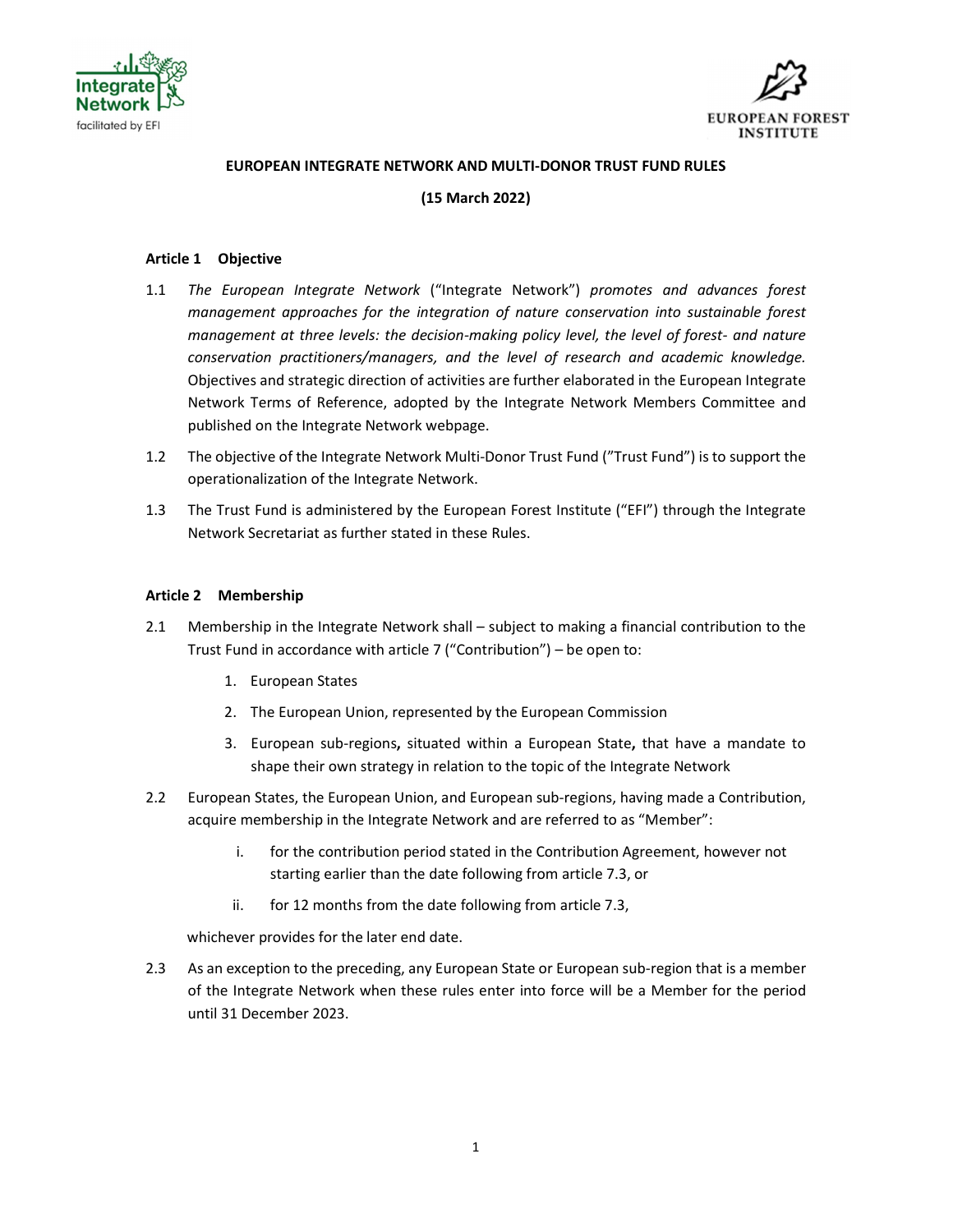



### EUROPEAN INTEGRATE NETWORK AND MULTI-DONOR TRUST FUND RULES

## (15 March 2022)

#### Article 1 Objective

- 1.1 The European Integrate Network ("Integrate Network") promotes and advances forest management approaches for the integration of nature conservation into sustainable forest management at three levels: the decision-making policy level, the level of forest- and nature conservation practitioners/managers, and the level of research and academic knowledge. Objectives and strategic direction of activities are further elaborated in the European Integrate Network Terms of Reference, adopted by the Integrate Network Members Committee and published on the Integrate Network webpage.
- 1.2 The objective of the Integrate Network Multi-Donor Trust Fund ("Trust Fund") is to support the operationalization of the Integrate Network.
- 1.3 The Trust Fund is administered by the European Forest Institute ("EFI") through the Integrate Network Secretariat as further stated in these Rules.

#### Article 2 Membership

- 2.1 Membership in the Integrate Network shall subject to making a financial contribution to the Trust Fund in accordance with article 7 ("Contribution") – be open to:
	- 1. European States
	- 2. The European Union, represented by the European Commission
	- 3. European sub-regions, situated within a European State, that have a mandate to shape their own strategy in relation to the topic of the Integrate Network
- 2.2 European States, the European Union, and European sub-regions, having made a Contribution, acquire membership in the Integrate Network and are referred to as "Member":
	- i. for the contribution period stated in the Contribution Agreement, however not starting earlier than the date following from article 7.3, or
	- ii. for 12 months from the date following from article 7.3,

whichever provides for the later end date.

2.3 As an exception to the preceding, any European State or European sub-region that is a member of the Integrate Network when these rules enter into force will be a Member for the period until 31 December 2023.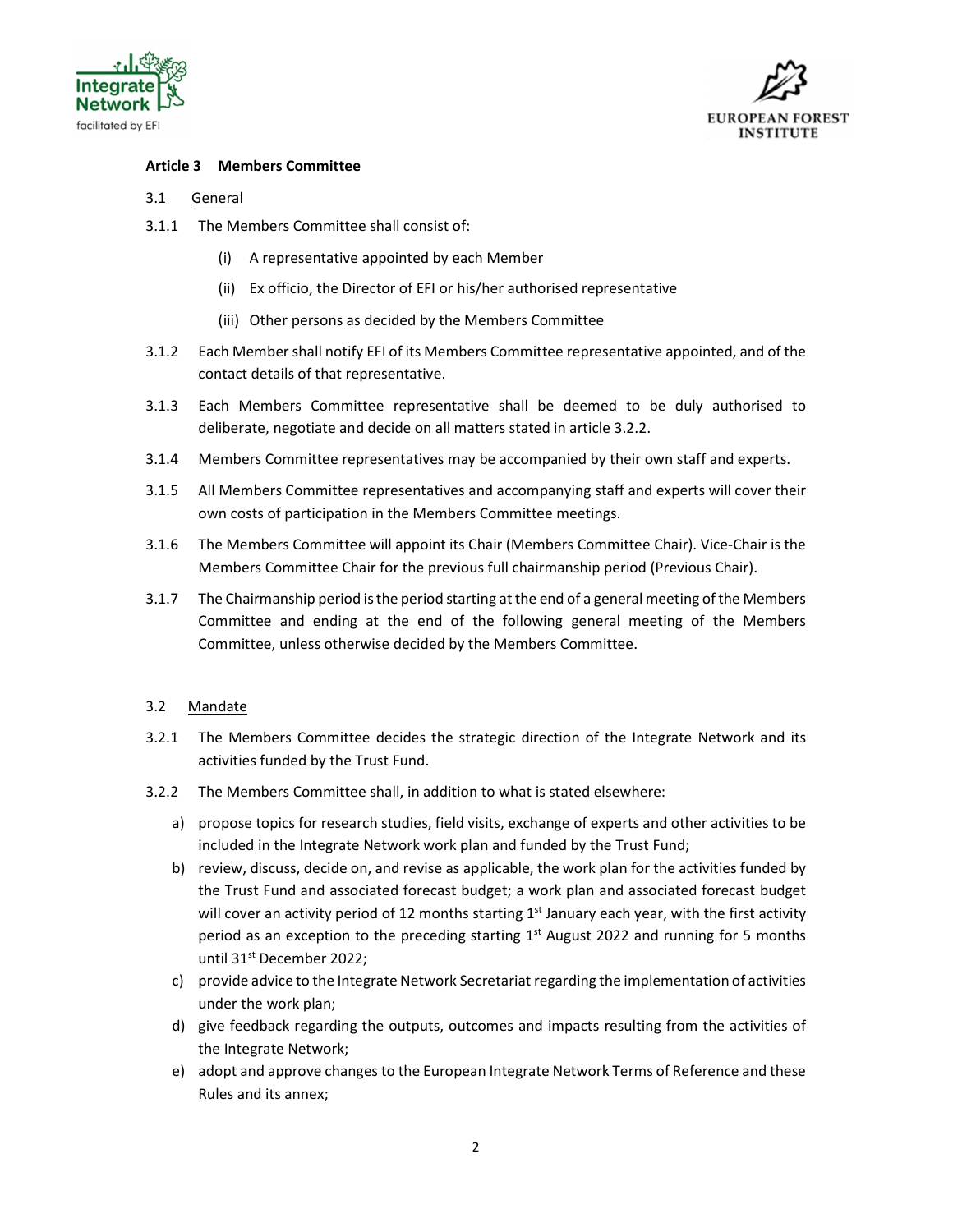



### Article 3 Members Committee

### 3.1 General

- 3.1.1 The Members Committee shall consist of:
	- (i) A representative appointed by each Member
	- (ii) Ex officio, the Director of EFI or his/her authorised representative
	- (iii) Other persons as decided by the Members Committee
- 3.1.2 Each Member shall notify EFI of its Members Committee representative appointed, and of the contact details of that representative.
- 3.1.3 Each Members Committee representative shall be deemed to be duly authorised to deliberate, negotiate and decide on all matters stated in article 3.2.2.
- 3.1.4 Members Committee representatives may be accompanied by their own staff and experts.
- 3.1.5 All Members Committee representatives and accompanying staff and experts will cover their own costs of participation in the Members Committee meetings.
- 3.1.6 The Members Committee will appoint its Chair (Members Committee Chair). Vice-Chair is the Members Committee Chair for the previous full chairmanship period (Previous Chair).
- 3.1.7 The Chairmanship period is the period starting at the end of a general meeting of the Members Committee and ending at the end of the following general meeting of the Members Committee, unless otherwise decided by the Members Committee.

### 3.2 Mandate

- 3.2.1 The Members Committee decides the strategic direction of the Integrate Network and its activities funded by the Trust Fund.
- 3.2.2 The Members Committee shall, in addition to what is stated elsewhere:
	- a) propose topics for research studies, field visits, exchange of experts and other activities to be included in the Integrate Network work plan and funded by the Trust Fund;
	- b) review, discuss, decide on, and revise as applicable, the work plan for the activities funded by the Trust Fund and associated forecast budget; a work plan and associated forecast budget will cover an activity period of 12 months starting  $1<sup>st</sup>$  January each year, with the first activity period as an exception to the preceding starting  $1<sup>st</sup>$  August 2022 and running for 5 months until 31<sup>st</sup> December 2022;
	- c) provide advice to the Integrate Network Secretariat regarding the implementation of activities under the work plan;
	- d) give feedback regarding the outputs, outcomes and impacts resulting from the activities of the Integrate Network;
	- e) adopt and approve changes to the European Integrate Network Terms of Reference and these Rules and its annex;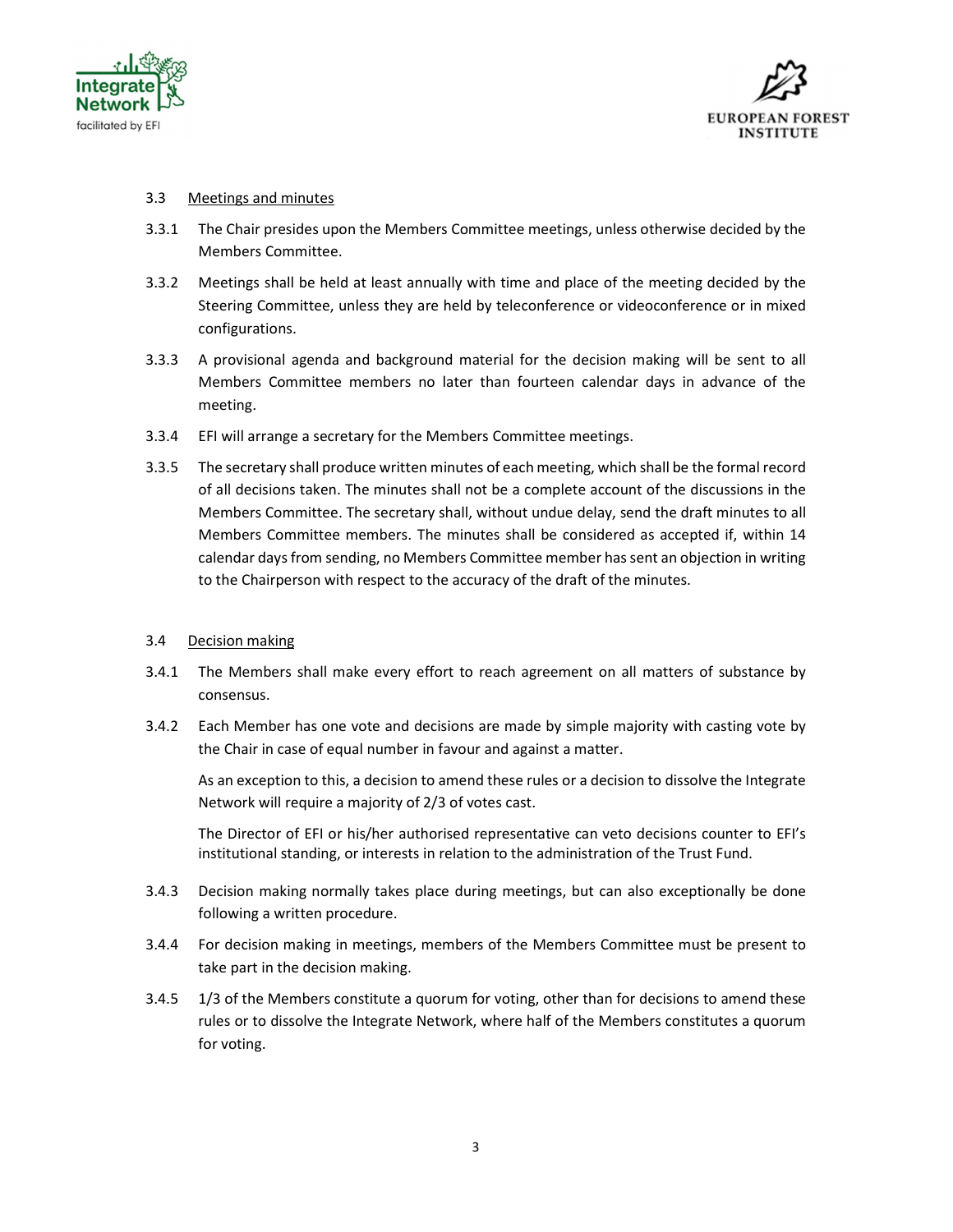



### 3.3 Meetings and minutes

- 3.3.1 The Chair presides upon the Members Committee meetings, unless otherwise decided by the Members Committee.
- 3.3.2 Meetings shall be held at least annually with time and place of the meeting decided by the Steering Committee, unless they are held by teleconference or videoconference or in mixed configurations.
- 3.3.3 A provisional agenda and background material for the decision making will be sent to all Members Committee members no later than fourteen calendar days in advance of the meeting.
- 3.3.4 EFI will arrange a secretary for the Members Committee meetings.
- 3.3.5 The secretary shall produce written minutes of each meeting, which shall be the formal record of all decisions taken. The minutes shall not be a complete account of the discussions in the Members Committee. The secretary shall, without undue delay, send the draft minutes to all Members Committee members. The minutes shall be considered as accepted if, within 14 calendar days from sending, no Members Committee member has sent an objection in writing to the Chairperson with respect to the accuracy of the draft of the minutes.

### 3.4 Decision making

- 3.4.1 The Members shall make every effort to reach agreement on all matters of substance by consensus.
- 3.4.2 Each Member has one vote and decisions are made by simple majority with casting vote by the Chair in case of equal number in favour and against a matter.

As an exception to this, a decision to amend these rules or a decision to dissolve the Integrate Network will require a majority of 2/3 of votes cast.

The Director of EFI or his/her authorised representative can veto decisions counter to EFI's institutional standing, or interests in relation to the administration of the Trust Fund.

- 3.4.3 Decision making normally takes place during meetings, but can also exceptionally be done following a written procedure.
- 3.4.4 For decision making in meetings, members of the Members Committee must be present to take part in the decision making.
- 3.4.5 1/3 of the Members constitute a quorum for voting, other than for decisions to amend these rules or to dissolve the Integrate Network, where half of the Members constitutes a quorum for voting.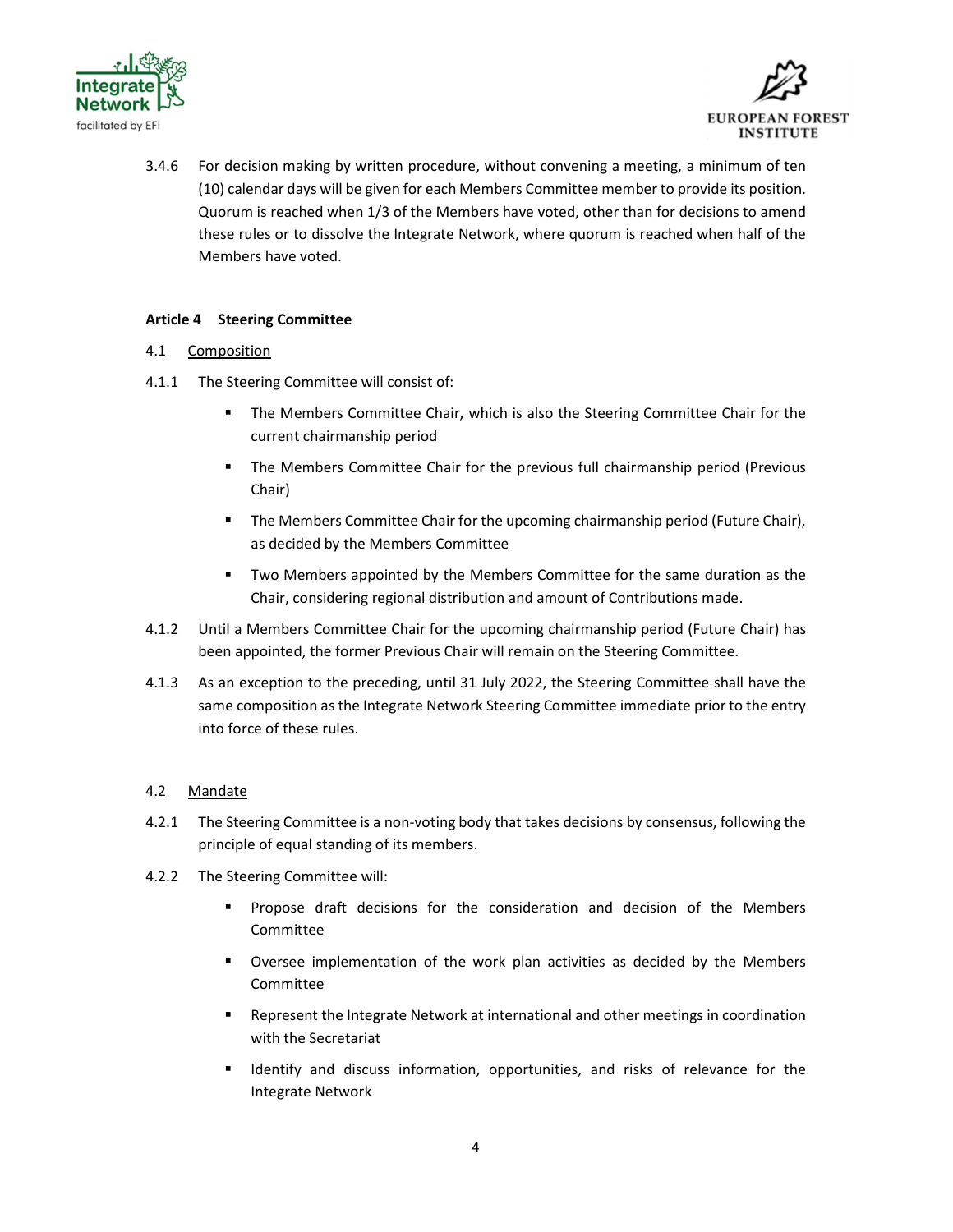



3.4.6 For decision making by written procedure, without convening a meeting, a minimum of ten (10) calendar days will be given for each Members Committee member to provide its position. Quorum is reached when 1/3 of the Members have voted, other than for decisions to amend these rules or to dissolve the Integrate Network, where quorum is reached when half of the Members have voted.

## Article 4 Steering Committee

### 4.1 Composition

- 4.1.1 The Steering Committee will consist of:
	- **The Members Committee Chair, which is also the Steering Committee Chair for the** current chairmanship period
	- **The Members Committee Chair for the previous full chairmanship period (Previous** Chair)
	- **The Members Committee Chair for the upcoming chairmanship period (Future Chair),** as decided by the Members Committee
	- Two Members appointed by the Members Committee for the same duration as the Chair, considering regional distribution and amount of Contributions made.
- 4.1.2 Until a Members Committee Chair for the upcoming chairmanship period (Future Chair) has been appointed, the former Previous Chair will remain on the Steering Committee.
- 4.1.3 As an exception to the preceding, until 31 July 2022, the Steering Committee shall have the same composition as the Integrate Network Steering Committee immediate prior to the entry into force of these rules.

# 4.2 Mandate

- 4.2.1 The Steering Committee is a non-voting body that takes decisions by consensus, following the principle of equal standing of its members.
- 4.2.2 The Steering Committee will:
	- Propose draft decisions for the consideration and decision of the Members Committee
	- **Diangler 1** Oversee implementation of the work plan activities as decided by the Members Committee
	- Represent the Integrate Network at international and other meetings in coordination with the Secretariat
	- Identify and discuss information, opportunities, and risks of relevance for the Integrate Network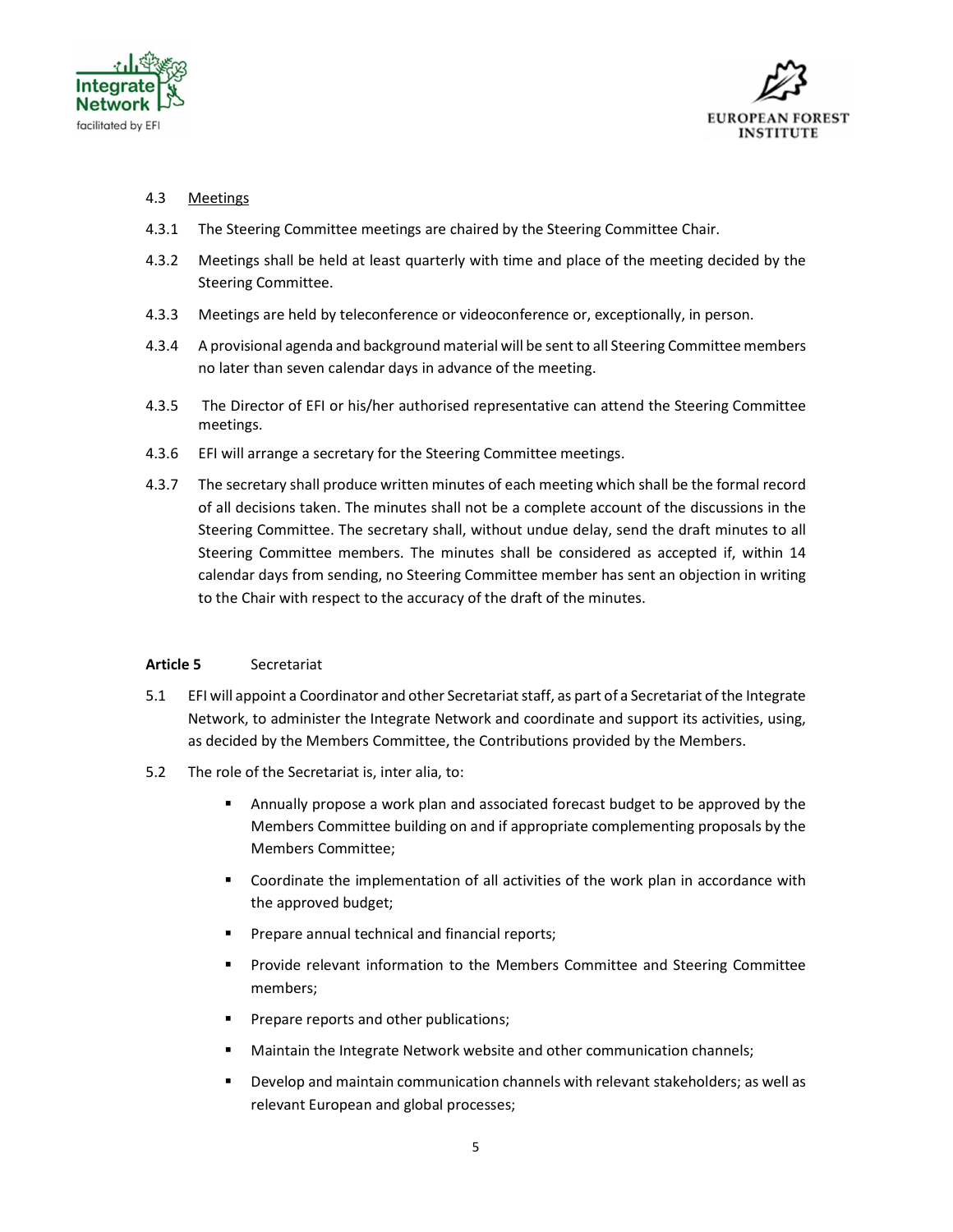



### 4.3 Meetings

- 4.3.1 The Steering Committee meetings are chaired by the Steering Committee Chair.
- 4.3.2 Meetings shall be held at least quarterly with time and place of the meeting decided by the Steering Committee.
- 4.3.3 Meetings are held by teleconference or videoconference or, exceptionally, in person.
- 4.3.4 A provisional agenda and background material will be sent to all Steering Committee members no later than seven calendar days in advance of the meeting.
- 4.3.5 The Director of EFI or his/her authorised representative can attend the Steering Committee meetings.
- 4.3.6 EFI will arrange a secretary for the Steering Committee meetings.
- 4.3.7 The secretary shall produce written minutes of each meeting which shall be the formal record of all decisions taken. The minutes shall not be a complete account of the discussions in the Steering Committee. The secretary shall, without undue delay, send the draft minutes to all Steering Committee members. The minutes shall be considered as accepted if, within 14 calendar days from sending, no Steering Committee member has sent an objection in writing to the Chair with respect to the accuracy of the draft of the minutes.

### Article 5 Secretariat

- 5.1 EFI will appoint a Coordinator and other Secretariat staff, as part of a Secretariat of the Integrate Network, to administer the Integrate Network and coordinate and support its activities, using, as decided by the Members Committee, the Contributions provided by the Members.
- 5.2 The role of the Secretariat is, inter alia, to:
	- Annually propose a work plan and associated forecast budget to be approved by the Members Committee building on and if appropriate complementing proposals by the Members Committee;
	- **EXECOORDINATE:** Coordinate the implementation of all activities of the work plan in accordance with the approved budget;
	- Prepare annual technical and financial reports;
	- **Provide relevant information to the Members Committee and Steering Committee** members;
	- Prepare reports and other publications;
	- **Maintain the Integrate Network website and other communication channels;**
	- Develop and maintain communication channels with relevant stakeholders; as well as relevant European and global processes;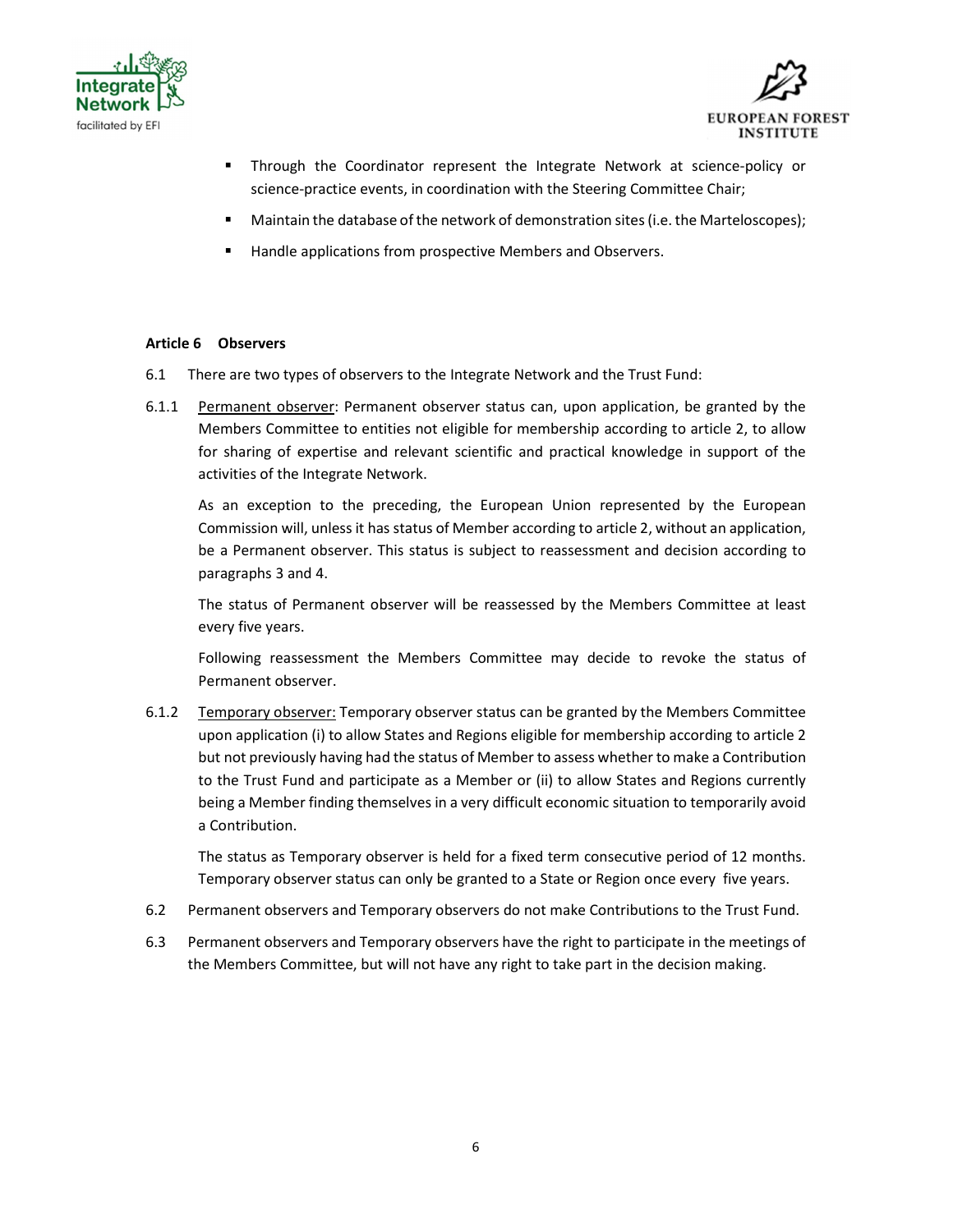



- Through the Coordinator represent the Integrate Network at science-policy or science-practice events, in coordination with the Steering Committee Chair;
- **Maintain the database of the network of demonstration sites (i.e. the Marteloscopes);**
- Handle applications from prospective Members and Observers.

#### Article 6 Observers

- 6.1 There are two types of observers to the Integrate Network and the Trust Fund:
- 6.1.1 Permanent observer: Permanent observer status can, upon application, be granted by the Members Committee to entities not eligible for membership according to article 2, to allow for sharing of expertise and relevant scientific and practical knowledge in support of the activities of the Integrate Network.

As an exception to the preceding, the European Union represented by the European Commission will, unless it has status of Member according to article 2, without an application, be a Permanent observer. This status is subject to reassessment and decision according to paragraphs 3 and 4.

The status of Permanent observer will be reassessed by the Members Committee at least every five years.

Following reassessment the Members Committee may decide to revoke the status of Permanent observer.

6.1.2 Temporary observer: Temporary observer status can be granted by the Members Committee upon application (i) to allow States and Regions eligible for membership according to article 2 but not previously having had the status of Member to assess whether to make a Contribution to the Trust Fund and participate as a Member or (ii) to allow States and Regions currently being a Member finding themselves in a very difficult economic situation to temporarily avoid a Contribution.

The status as Temporary observer is held for a fixed term consecutive period of 12 months. Temporary observer status can only be granted to a State or Region once every five years.

- 6.2 Permanent observers and Temporary observers do not make Contributions to the Trust Fund.
- 6.3 Permanent observers and Temporary observers have the right to participate in the meetings of the Members Committee, but will not have any right to take part in the decision making.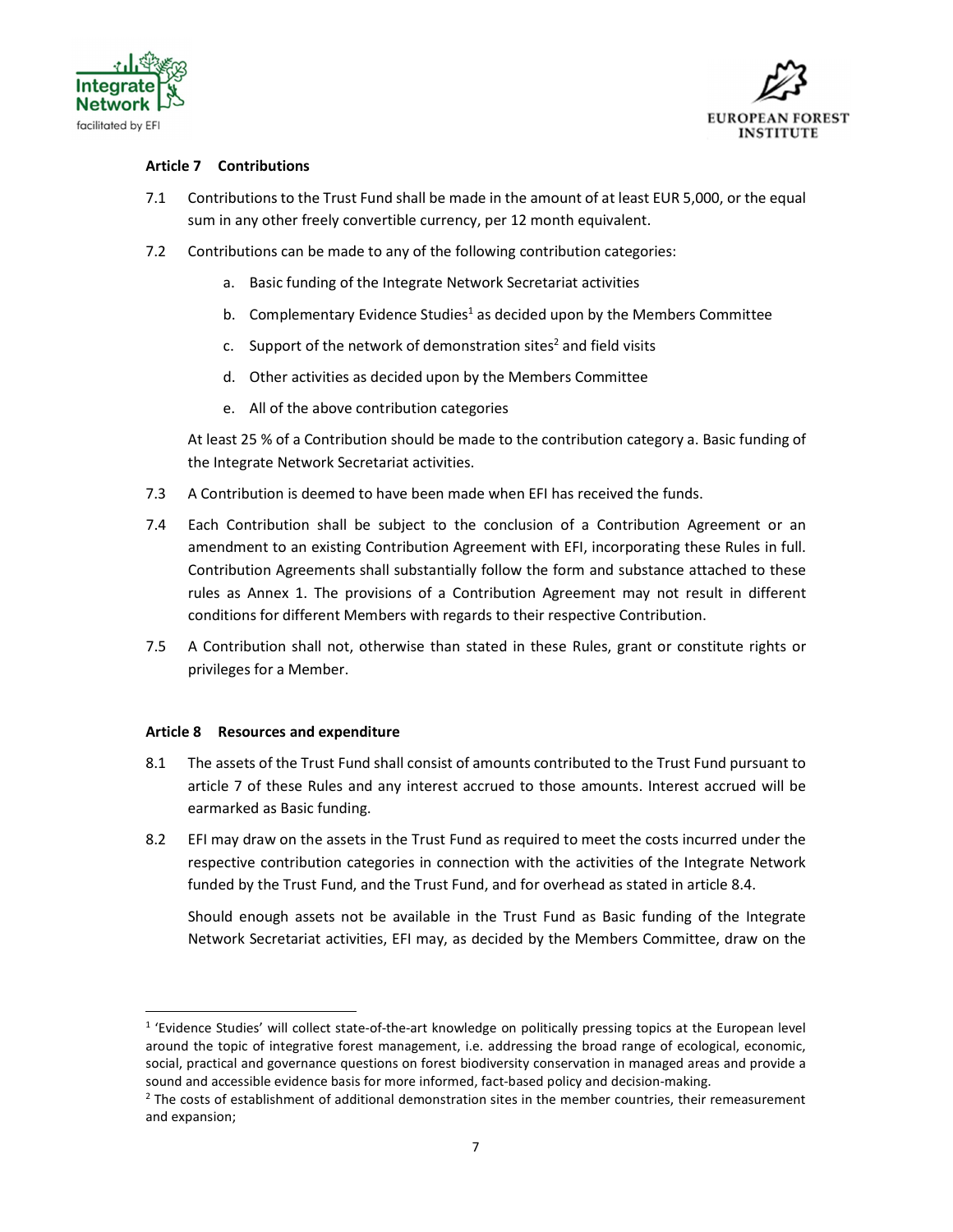



## Article 7 Contributions

- 7.1 Contributions to the Trust Fund shall be made in the amount of at least EUR 5,000, or the equal sum in any other freely convertible currency, per 12 month equivalent.
- 7.2 Contributions can be made to any of the following contribution categories:
	- a. Basic funding of the Integrate Network Secretariat activities
	- b. Complementary Evidence Studies<sup>1</sup> as decided upon by the Members Committee
	- c. Support of the network of demonstration sites<sup>2</sup> and field visits
	- d. Other activities as decided upon by the Members Committee
	- e. All of the above contribution categories

At least 25 % of a Contribution should be made to the contribution category a. Basic funding of the Integrate Network Secretariat activities.

- 7.3 A Contribution is deemed to have been made when EFI has received the funds.
- 7.4 Each Contribution shall be subject to the conclusion of a Contribution Agreement or an amendment to an existing Contribution Agreement with EFI, incorporating these Rules in full. Contribution Agreements shall substantially follow the form and substance attached to these rules as Annex 1. The provisions of a Contribution Agreement may not result in different conditions for different Members with regards to their respective Contribution.
- 7.5 A Contribution shall not, otherwise than stated in these Rules, grant or constitute rights or privileges for a Member.

### Article 8 Resources and expenditure

- 8.1 The assets of the Trust Fund shall consist of amounts contributed to the Trust Fund pursuant to article 7 of these Rules and any interest accrued to those amounts. Interest accrued will be earmarked as Basic funding.
- 8.2 EFI may draw on the assets in the Trust Fund as required to meet the costs incurred under the respective contribution categories in connection with the activities of the Integrate Network funded by the Trust Fund, and the Trust Fund, and for overhead as stated in article 8.4.

Should enough assets not be available in the Trust Fund as Basic funding of the Integrate Network Secretariat activities, EFI may, as decided by the Members Committee, draw on the 1

<sup>&</sup>lt;sup>1</sup> 'Evidence Studies' will collect state-of-the-art knowledge on politically pressing topics at the European level around the topic of integrative forest management, i.e. addressing the broad range of ecological, economic, social, practical and governance questions on forest biodiversity conservation in managed areas and provide a sound and accessible evidence basis for more informed, fact-based policy and decision-making. 2

 $2$  The costs of establishment of additional demonstration sites in the member countries, their remeasurement and expansion;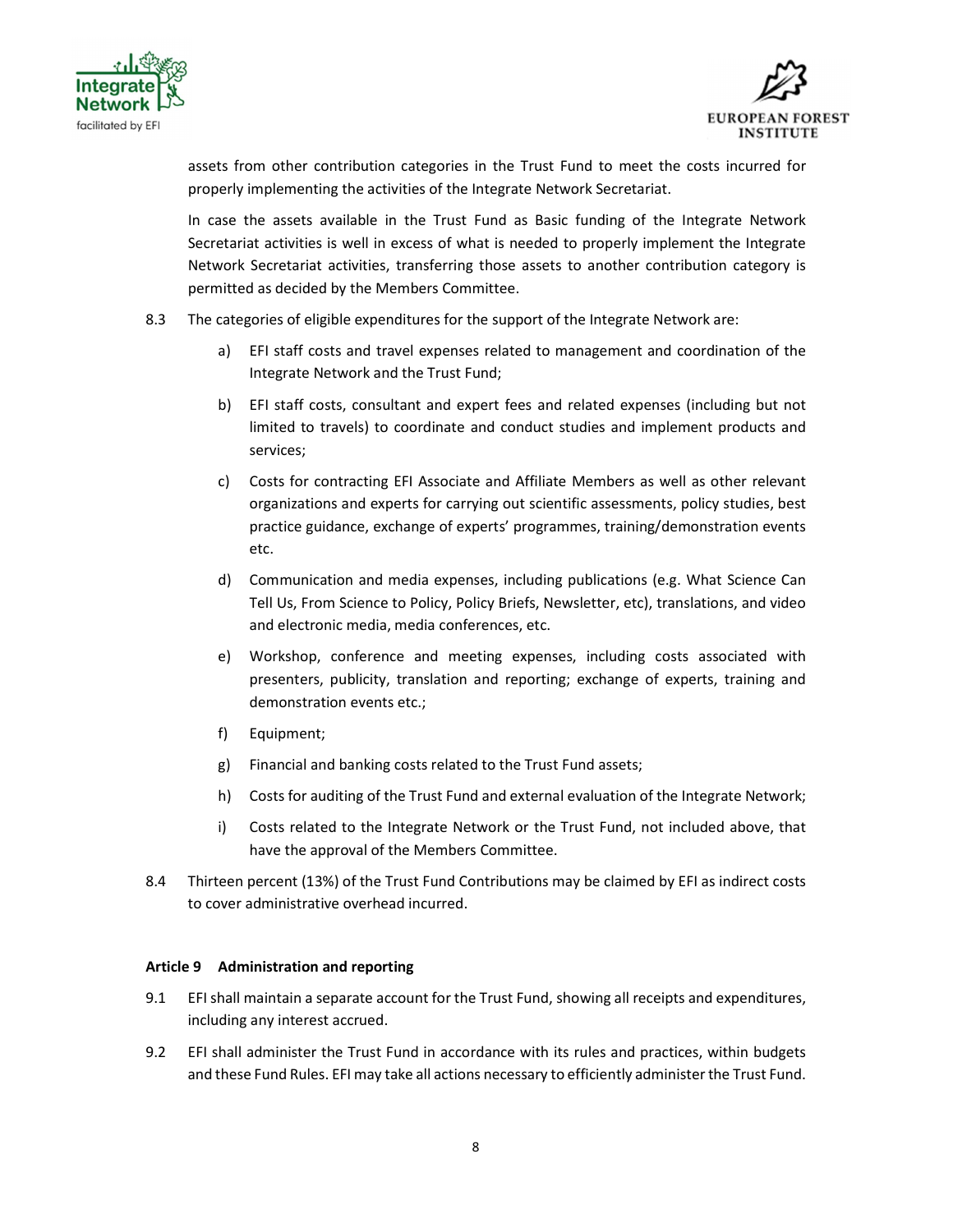



assets from other contribution categories in the Trust Fund to meet the costs incurred for properly implementing the activities of the Integrate Network Secretariat.

In case the assets available in the Trust Fund as Basic funding of the Integrate Network Secretariat activities is well in excess of what is needed to properly implement the Integrate Network Secretariat activities, transferring those assets to another contribution category is permitted as decided by the Members Committee.

- 8.3 The categories of eligible expenditures for the support of the Integrate Network are:
	- a) EFI staff costs and travel expenses related to management and coordination of the Integrate Network and the Trust Fund;
	- b) EFI staff costs, consultant and expert fees and related expenses (including but not limited to travels) to coordinate and conduct studies and implement products and services;
	- c) Costs for contracting EFI Associate and Affiliate Members as well as other relevant organizations and experts for carrying out scientific assessments, policy studies, best practice guidance, exchange of experts' programmes, training/demonstration events etc.
	- d) Communication and media expenses, including publications (e.g. What Science Can Tell Us, From Science to Policy, Policy Briefs, Newsletter, etc), translations, and video and electronic media, media conferences, etc.
	- e) Workshop, conference and meeting expenses, including costs associated with presenters, publicity, translation and reporting; exchange of experts, training and demonstration events etc.;
	- f) Equipment;
	- g) Financial and banking costs related to the Trust Fund assets;
	- h) Costs for auditing of the Trust Fund and external evaluation of the Integrate Network;
	- i) Costs related to the Integrate Network or the Trust Fund, not included above, that have the approval of the Members Committee.
- 8.4 Thirteen percent (13%) of the Trust Fund Contributions may be claimed by EFI as indirect costs to cover administrative overhead incurred.

### Article 9 Administration and reporting

- 9.1 EFI shall maintain a separate account for the Trust Fund, showing all receipts and expenditures, including any interest accrued.
- 9.2 EFI shall administer the Trust Fund in accordance with its rules and practices, within budgets and these Fund Rules. EFI may take all actions necessary to efficiently administer the Trust Fund.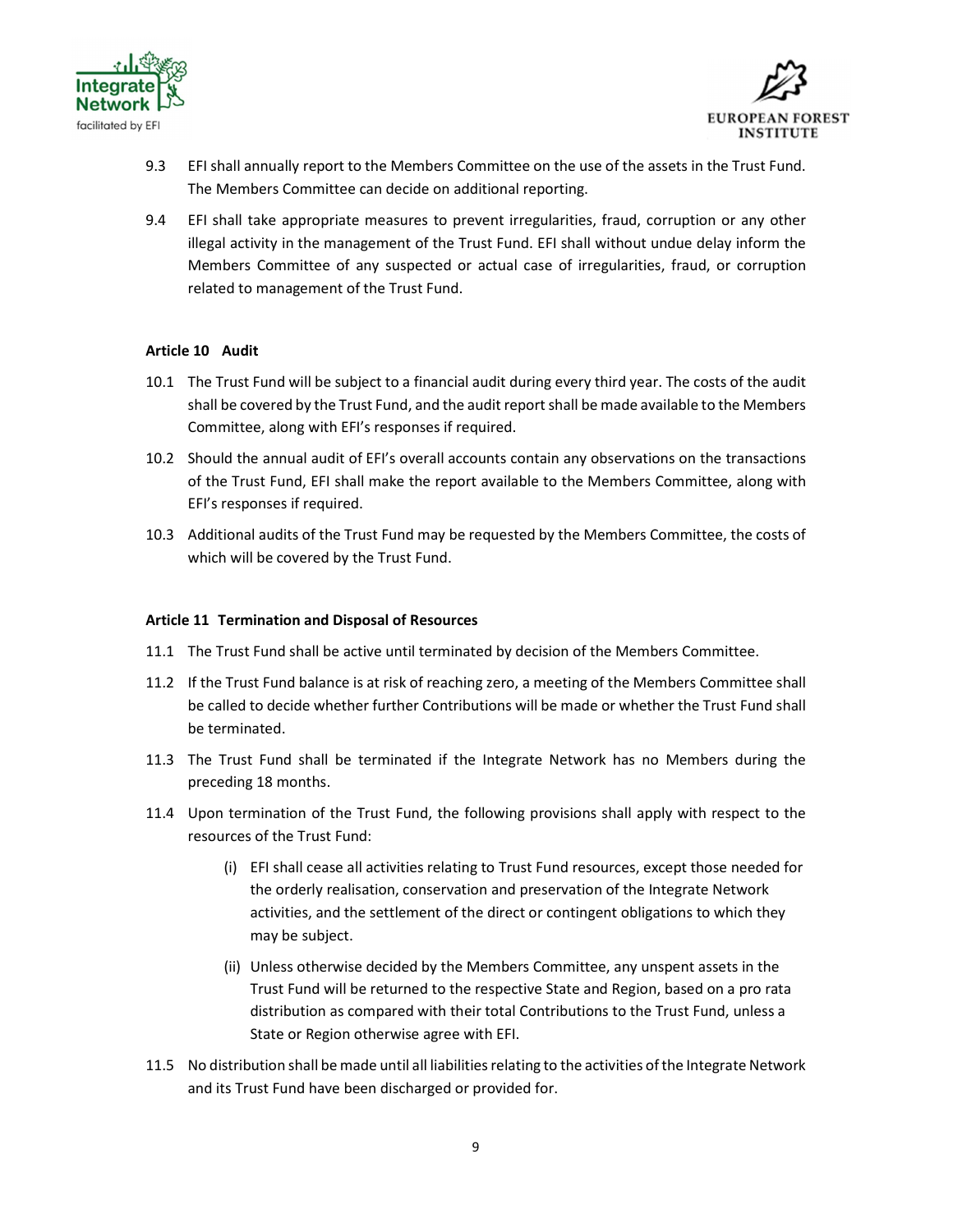



- 9.3 EFI shall annually report to the Members Committee on the use of the assets in the Trust Fund. The Members Committee can decide on additional reporting.
- 9.4 EFI shall take appropriate measures to prevent irregularities, fraud, corruption or any other illegal activity in the management of the Trust Fund. EFI shall without undue delay inform the Members Committee of any suspected or actual case of irregularities, fraud, or corruption related to management of the Trust Fund.

## Article 10 Audit

- 10.1 The Trust Fund will be subject to a financial audit during every third year. The costs of the audit shall be covered by the Trust Fund, and the audit report shall be made available to the Members Committee, along with EFI's responses if required.
- 10.2 Should the annual audit of EFI's overall accounts contain any observations on the transactions of the Trust Fund, EFI shall make the report available to the Members Committee, along with EFI's responses if required.
- 10.3 Additional audits of the Trust Fund may be requested by the Members Committee, the costs of which will be covered by the Trust Fund.

### Article 11 Termination and Disposal of Resources

- 11.1 The Trust Fund shall be active until terminated by decision of the Members Committee.
- 11.2 If the Trust Fund balance is at risk of reaching zero, a meeting of the Members Committee shall be called to decide whether further Contributions will be made or whether the Trust Fund shall be terminated.
- 11.3 The Trust Fund shall be terminated if the Integrate Network has no Members during the preceding 18 months.
- 11.4 Upon termination of the Trust Fund, the following provisions shall apply with respect to the resources of the Trust Fund:
	- (i) EFI shall cease all activities relating to Trust Fund resources, except those needed for the orderly realisation, conservation and preservation of the Integrate Network activities, and the settlement of the direct or contingent obligations to which they may be subject.
	- (ii) Unless otherwise decided by the Members Committee, any unspent assets in the Trust Fund will be returned to the respective State and Region, based on a pro rata distribution as compared with their total Contributions to the Trust Fund, unless a State or Region otherwise agree with EFI.
- 11.5 No distribution shall be made until all liabilities relating to the activities of the Integrate Network and its Trust Fund have been discharged or provided for.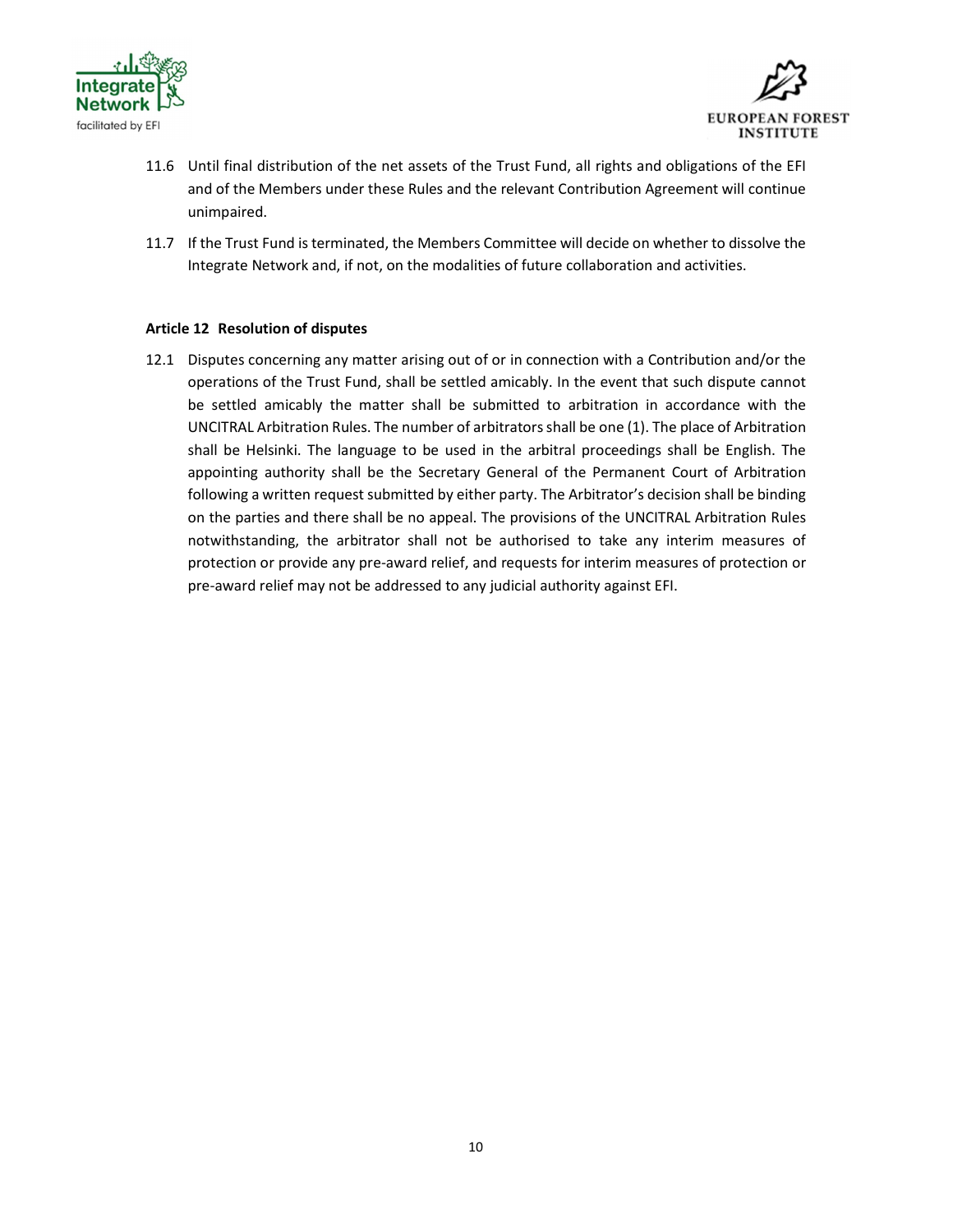



- 11.6 Until final distribution of the net assets of the Trust Fund, all rights and obligations of the EFI and of the Members under these Rules and the relevant Contribution Agreement will continue unimpaired.
- 11.7 If the Trust Fund is terminated, the Members Committee will decide on whether to dissolve the Integrate Network and, if not, on the modalities of future collaboration and activities.

### Article 12 Resolution of disputes

12.1 Disputes concerning any matter arising out of or in connection with a Contribution and/or the operations of the Trust Fund, shall be settled amicably. In the event that such dispute cannot be settled amicably the matter shall be submitted to arbitration in accordance with the UNCITRAL Arbitration Rules. The number of arbitrators shall be one (1). The place of Arbitration shall be Helsinki. The language to be used in the arbitral proceedings shall be English. The appointing authority shall be the Secretary General of the Permanent Court of Arbitration following a written request submitted by either party. The Arbitrator's decision shall be binding on the parties and there shall be no appeal. The provisions of the UNCITRAL Arbitration Rules notwithstanding, the arbitrator shall not be authorised to take any interim measures of protection or provide any pre-award relief, and requests for interim measures of protection or pre-award relief may not be addressed to any judicial authority against EFI.